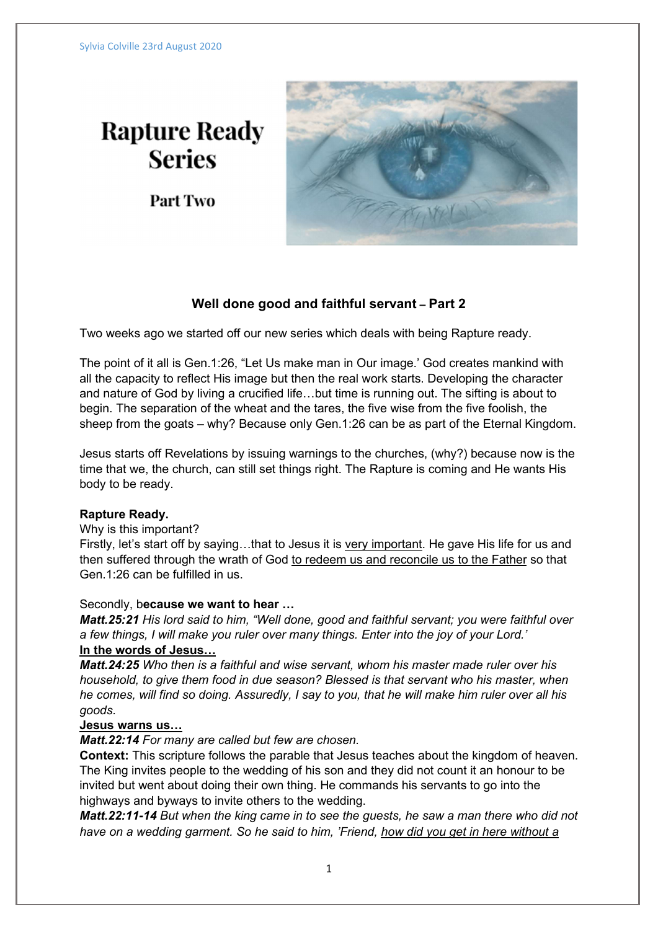# **Rapture Ready Series**

Part Two



# Well done good and faithful servant – Part 2

Two weeks ago we started off our new series which deals with being Rapture ready.

The point of it all is Gen.1:26, "Let Us make man in Our image.' God creates mankind with all the capacity to reflect His image but then the real work starts. Developing the character and nature of God by living a crucified life…but time is running out. The sifting is about to begin. The separation of the wheat and the tares, the five wise from the five foolish, the sheep from the goats – why? Because only Gen.1:26 can be as part of the Eternal Kingdom.

Jesus starts off Revelations by issuing warnings to the churches, (why?) because now is the time that we, the church, can still set things right. The Rapture is coming and He wants His body to be ready.

## Rapture Ready.

### Why is this important?

Firstly, let's start off by saying…that to Jesus it is very important. He gave His life for us and then suffered through the wrath of God to redeem us and reconcile us to the Father so that Gen.1:26 can be fulfilled in us.

#### Secondly, because we want to hear …

Matt.25:21 His lord said to him, "Well done, good and faithful servant; you were faithful over a few things, I will make you ruler over many things. Enter into the joy of your Lord.' In the words of Jesus…

Matt.24:25 Who then is a faithful and wise servant, whom his master made ruler over his household, to give them food in due season? Blessed is that servant who his master, when he comes, will find so doing. Assuredly, I say to you, that he will make him ruler over all his goods.

#### Jesus warns us…

Matt.22:14 For many are called but few are chosen.

Context: This scripture follows the parable that Jesus teaches about the kingdom of heaven. The King invites people to the wedding of his son and they did not count it an honour to be invited but went about doing their own thing. He commands his servants to go into the highways and byways to invite others to the wedding.

Matt.22:11-14 But when the king came in to see the guests, he saw a man there who did not have on a wedding garment. So he said to him, 'Friend, how did you get in here without a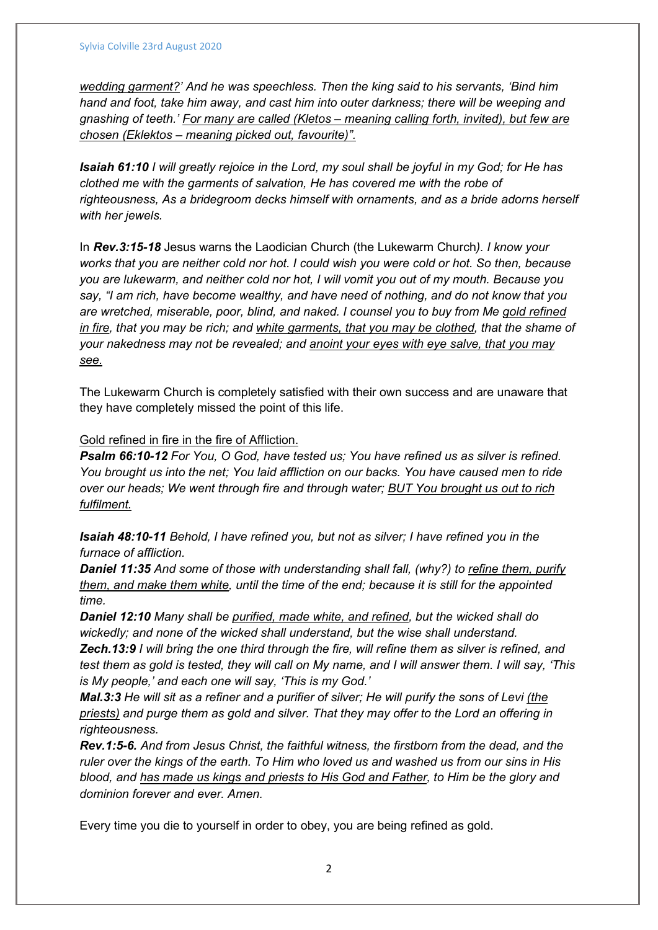wedding garment?' And he was speechless. Then the king said to his servants, 'Bind him hand and foot, take him away, and cast him into outer darkness; there will be weeping and gnashing of teeth.' For many are called (Kletos – meaning calling forth, invited), but few are chosen (Eklektos – meaning picked out, favourite)".

Isaiah 61:10 I will greatly rejoice in the Lord, my soul shall be joyful in my God; for He has clothed me with the garments of salvation, He has covered me with the robe of righteousness, As a bridegroom decks himself with ornaments, and as a bride adorns herself with her jewels.

In Rev.3:15-18 Jesus warns the Laodician Church (the Lukewarm Church). I know your works that you are neither cold nor hot. I could wish you were cold or hot. So then, because you are lukewarm, and neither cold nor hot, I will vomit you out of my mouth. Because you say, "I am rich, have become wealthy, and have need of nothing, and do not know that you are wretched, miserable, poor, blind, and naked. I counsel you to buy from Me gold refined in fire, that you may be rich; and white garments, that you may be clothed, that the shame of your nakedness may not be revealed; and anoint your eyes with eye salve, that you may see.

The Lukewarm Church is completely satisfied with their own success and are unaware that they have completely missed the point of this life.

Gold refined in fire in the fire of Affliction.

Psalm 66:10-12 For You, O God, have tested us; You have refined us as silver is refined. You brought us into the net; You laid affliction on our backs. You have caused men to ride over our heads; We went through fire and through water; **BUT You brought us out to rich** fulfilment.

Isaiah 48:10-11 Behold, I have refined you, but not as silver; I have refined you in the furnace of affliction.

**Daniel 11:35** And some of those with understanding shall fall, (why?) to refine them, purify them, and make them white, until the time of the end; because it is still for the appointed time.

Daniel 12:10 Many shall be purified, made white, and refined, but the wicked shall do wickedly; and none of the wicked shall understand, but the wise shall understand.

Zech.13:9 I will bring the one third through the fire, will refine them as silver is refined, and test them as gold is tested, they will call on My name, and I will answer them. I will say, 'This is My people,' and each one will say, 'This is my God.'

Mal.3:3 He will sit as a refiner and a purifier of silver; He will purify the sons of Levi (the priests) and purge them as gold and silver. That they may offer to the Lord an offering in righteousness.

Rev.1:5-6. And from Jesus Christ, the faithful witness, the firstborn from the dead, and the ruler over the kings of the earth. To Him who loved us and washed us from our sins in His blood, and has made us kings and priests to His God and Father, to Him be the glory and dominion forever and ever. Amen.

Every time you die to yourself in order to obey, you are being refined as gold.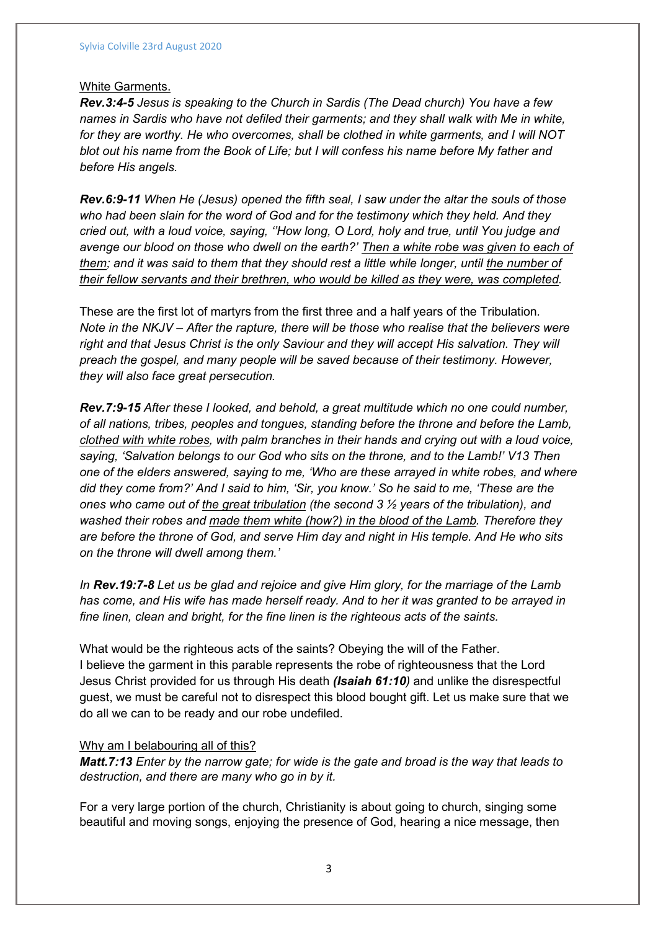#### White Garments.

Rev.3:4-5 Jesus is speaking to the Church in Sardis (The Dead church) You have a few names in Sardis who have not defiled their garments; and they shall walk with Me in white, for they are worthy. He who overcomes, shall be clothed in white garments, and I will NOT blot out his name from the Book of Life; but I will confess his name before My father and before His angels.

Rev.6:9-11 When He (Jesus) opened the fifth seal, I saw under the altar the souls of those who had been slain for the word of God and for the testimony which they held. And they cried out, with a loud voice, saying, ''How long, O Lord, holy and true, until You judge and avenge our blood on those who dwell on the earth?' Then a white robe was given to each of them; and it was said to them that they should rest a little while longer, until the number of their fellow servants and their brethren, who would be killed as they were, was completed.

These are the first lot of martyrs from the first three and a half years of the Tribulation. Note in the NKJV – After the rapture, there will be those who realise that the believers were right and that Jesus Christ is the only Saviour and they will accept His salvation. They will preach the gospel, and many people will be saved because of their testimony. However, they will also face great persecution.

Rev.7:9-15 After these I looked, and behold, a great multitude which no one could number, of all nations, tribes, peoples and tongues, standing before the throne and before the Lamb, clothed with white robes, with palm branches in their hands and crying out with a loud voice, saying, 'Salvation belongs to our God who sits on the throne, and to the Lamb!' V13 Then one of the elders answered, saying to me, 'Who are these arrayed in white robes, and where did they come from?' And I said to him, 'Sir, you know.' So he said to me, 'These are the ones who came out of the great tribulation (the second 3  $\frac{1}{2}$  years of the tribulation), and washed their robes and made them white (how?) in the blood of the Lamb. Therefore they are before the throne of God, and serve Him day and night in His temple. And He who sits on the throne will dwell among them.'

In Rev.19:7-8 Let us be glad and rejoice and give Him glory, for the marriage of the Lamb has come, and His wife has made herself ready. And to her it was granted to be arrayed in fine linen, clean and bright, for the fine linen is the righteous acts of the saints.

What would be the righteous acts of the saints? Obeying the will of the Father. I believe the garment in this parable represents the robe of righteousness that the Lord Jesus Christ provided for us through His death *(Isaiah 61:10)* and unlike the disrespectful guest, we must be careful not to disrespect this blood bought gift. Let us make sure that we do all we can to be ready and our robe undefiled.

#### Why am I belabouring all of this?

Matt.7:13 Enter by the narrow gate; for wide is the gate and broad is the way that leads to destruction, and there are many who go in by it.

For a very large portion of the church, Christianity is about going to church, singing some beautiful and moving songs, enjoying the presence of God, hearing a nice message, then